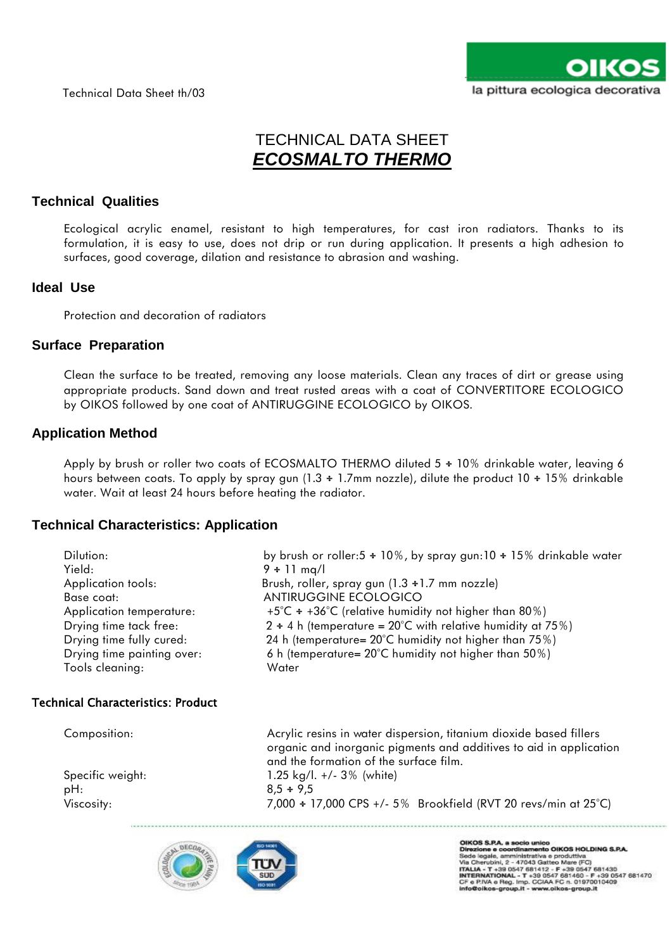

# TECHNICAL DATA SHEET *ECOSMALTO THERMO*

# **Technical Qualities**

Ecological acrylic enamel, resistant to high temperatures, for cast iron radiators. Thanks to its formulation, it is easy to use, does not drip or run during application. It presents a high adhesion to surfaces, good coverage, dilation and resistance to abrasion and washing.

## **Ideal Use**

Protection and decoration of radiators

## **Surface Preparation**

Clean the surface to be treated, removing any loose materials. Clean any traces of dirt or grease using appropriate products. Sand down and treat rusted areas with a coat of CONVERTITORE ECOLOGICO by OIKOS followed by one coat of ANTIRUGGINE ECOLOGICO by OIKOS.

## **Application Method**

Apply by brush or roller two coats of ECOSMALTO THERMO diluted 5 ÷ 10% drinkable water, leaving 6 hours between coats. To apply by spray gun (1.3 ÷ 1.7mm nozzle), dilute the product 10 ÷ 15% drinkable water. Wait at least 24 hours before heating the radiator.

## **Technical Characteristics: Application**

| Dilution:                                 | by brush or roller:5 $\div$ 10%, by spray gun:10 $\div$ 15% drinkable water                                                                                                        |
|-------------------------------------------|------------------------------------------------------------------------------------------------------------------------------------------------------------------------------------|
| Yield:                                    | $9 \div 11$ mg/l                                                                                                                                                                   |
| Application tools:                        | Brush, roller, spray gun $(1.3 \div 1.7 \text{ mm} \text{ nozzle})$                                                                                                                |
| Base coat:                                | ANTIRUGGINE ECOLOGICO                                                                                                                                                              |
| Application temperature:                  | $+5^{\circ}$ C ÷ +36°C (relative humidity not higher than 80%)                                                                                                                     |
| Drying time tack free:                    | $2 \div 4$ h (temperature = 20°C with relative humidity at 75%)                                                                                                                    |
| Drying time fully cured:                  | 24 h (temperature= 20°C humidity not higher than 75%)                                                                                                                              |
| Drying time painting over:                | 6 h (temperature= $20^{\circ}$ C humidity not higher than 50%)                                                                                                                     |
| Tools cleaning:                           | Water                                                                                                                                                                              |
| <b>Technical Characteristics: Product</b> |                                                                                                                                                                                    |
| Composition:                              | Acrylic resins in water dispersion, titanium dioxide based fillers<br>organic and inorganic pigments and additives to aid in application<br>and the formation of the surface film. |
| Specific weight:                          | 1.25 kg/l. $+/- 3\%$ (white)                                                                                                                                                       |
| pH:                                       | $8.5 \div 9.5$                                                                                                                                                                     |
| Viscosity:                                | 7,000 + 17,000 CPS +/- 5% Brookfield (RVT 20 revs/min at 25°C)                                                                                                                     |
|                                           |                                                                                                                                                                                    |



OIKOS S.P.A. a socio unico<br>Direzione e coordinamento OIKOS HOLDING S.P.A.<br>Sede legale, amministrativa e produttiva Direzione e coordinamento OIKOS HOLDING S.P.A.<br>Sede legale, amministrativa e produttiva<br>Via Cherubini, 2 - 47043 Gatteo Mare (FC)<br>ITALIA - T +39 0547 681412 - F +39 0547 681430<br>INTERNATIONAL - T +39 0547 681460 - F +39 054